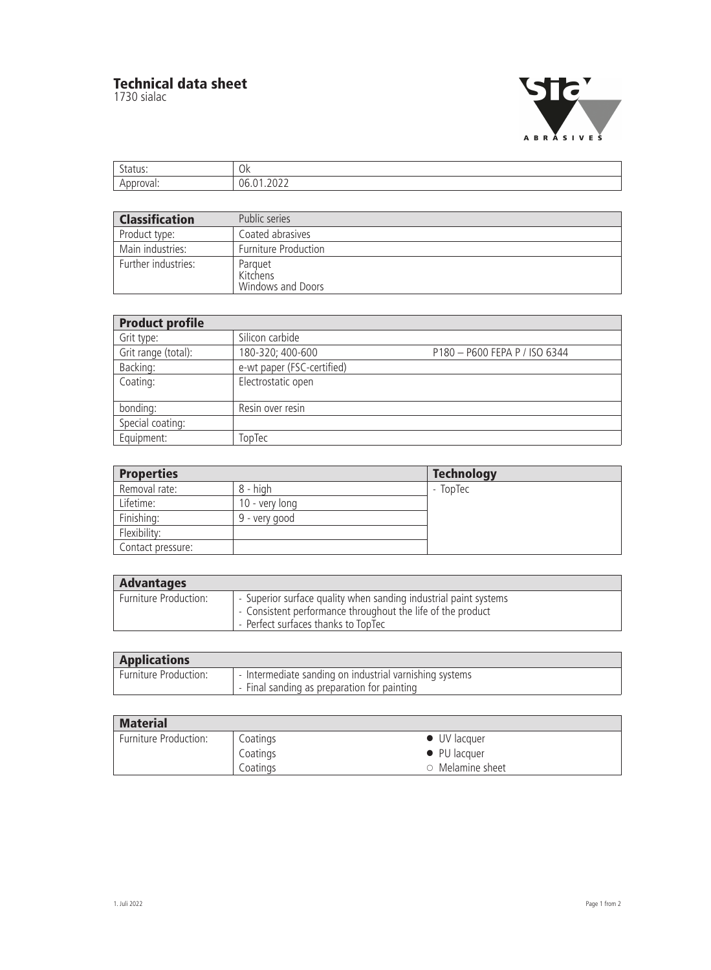## **Technical data sheet**

1730 sialac



| $\sim$<br>.us. | Ok            |
|----------------|---------------|
| 11/a           | $\sim$<br>')h |

| <b>Classification</b> | Public series                            |
|-----------------------|------------------------------------------|
| Product type:         | Coated abrasives                         |
| Main industries:      | <b>Furniture Production</b>              |
| Further industries:   | Parquet<br>Kitchens<br>Windows and Doors |

| <b>Product profile</b> |                            |                               |  |
|------------------------|----------------------------|-------------------------------|--|
| Grit type:             | Silicon carbide            |                               |  |
| Grit range (total):    | 180-320; 400-600           | P180 - P600 FEPA P / ISO 6344 |  |
| Backing:               | e-wt paper (FSC-certified) |                               |  |
| Coating:               | Electrostatic open         |                               |  |
|                        |                            |                               |  |
| bonding:               | Resin over resin           |                               |  |
| Special coating:       |                            |                               |  |
| Equipment:             | TopTec                     |                               |  |

| <b>Properties</b> |                | <b>Technology</b> |
|-------------------|----------------|-------------------|
| Removal rate:     | 8 - high       | - TopTec          |
| Lifetime:         | 10 - very long |                   |
| Finishing:        | 9 - very good  |                   |
| Flexibility:      |                |                   |
| Contact pressure: |                |                   |

| <b>Advantages</b>     |                                                                                                                                                                        |
|-----------------------|------------------------------------------------------------------------------------------------------------------------------------------------------------------------|
| Furniture Production: | - Superior surface quality when sanding industrial paint systems<br>- Consistent performance throughout the life of the product<br>- Perfect surfaces thanks to TopTec |

| <b>Applications</b>          |                                                         |
|------------------------------|---------------------------------------------------------|
| <b>Furniture Production:</b> | - Intermediate sanding on industrial varnishing systems |
|                              | - Final sanding as preparation for painting             |

| <b>Material</b>       |          |                        |
|-----------------------|----------|------------------------|
| Furniture Production: | Coatings | $\bullet$ UV lacquer   |
|                       | Coatings | $\bullet$ PU lacquer   |
|                       | Coatings | $\circ$ Melamine sheet |